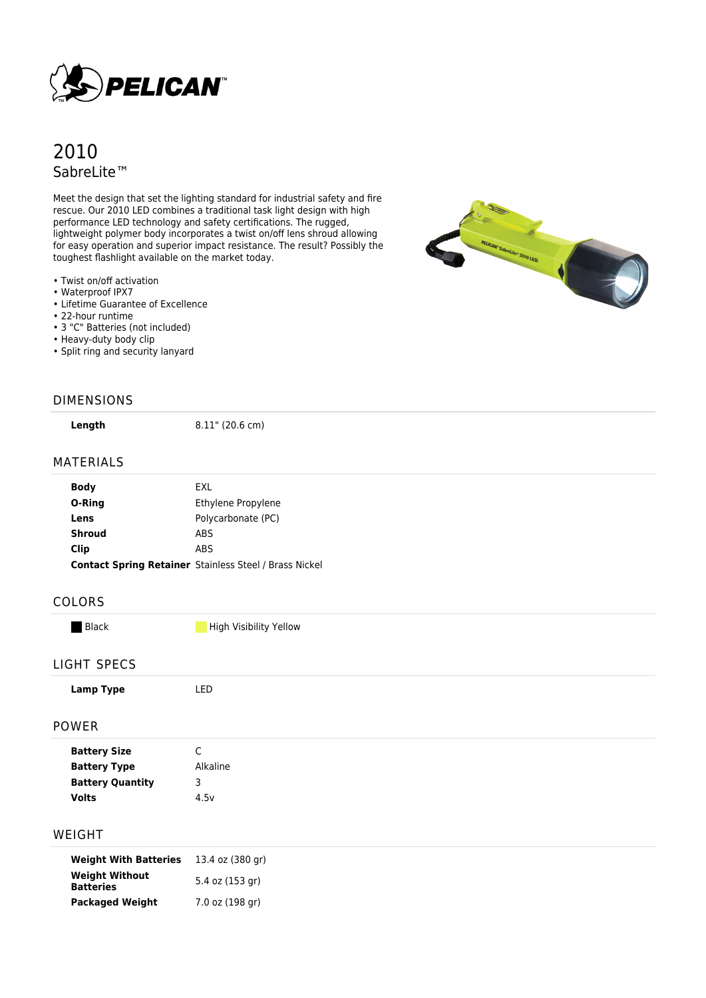

# 2010 SabreLite™

Meet the design that set the lighting standard for industrial safety and fire rescue. Our 2010 LED combines a traditional task light design with high performance LED technology and safety certifications. The rugged, lightweight polymer body incorporates a twist on/off lens shroud allowing for easy operation and superior impact resistance. The result? Possibly the toughest flashlight available on the market today.

- Twist on/off activation
- Waterproof IPX7
- Lifetime Guarantee of Excellence
- 22-hour runtime
- 3 "C" Batteries (not included)
- Heavy-duty body clip
- Split ring and security lanyard

#### DIMENSIONS

**Length** 8.11" (20.6 cm)

### MATERIALS

| <b>Contact Spring Retainer Stainless Steel / Brass Nickel</b> |
|---------------------------------------------------------------|
|                                                               |

#### COLORS

Black High Visibility Yellow

#### LIGHT SPECS

| Lamp Type     | LED            |
|---------------|----------------|
| POWER         |                |
| Battano Clara | $\overline{ }$ |

| <b>Battery Size</b>     | ◡        |
|-------------------------|----------|
| <b>Battery Type</b>     | Alkaline |
| <b>Battery Quantity</b> |          |
| <b>Volts</b>            | 4.5v     |
|                         |          |

#### WEIGHT

| <b>Weight With Batteries</b>              | 13.4 oz (380 gr) |
|-------------------------------------------|------------------|
| <b>Weight Without</b><br><b>Batteries</b> | 5.4 oz (153 gr)  |
| <b>Packaged Weight</b>                    | 7.0 oz (198 gr)  |